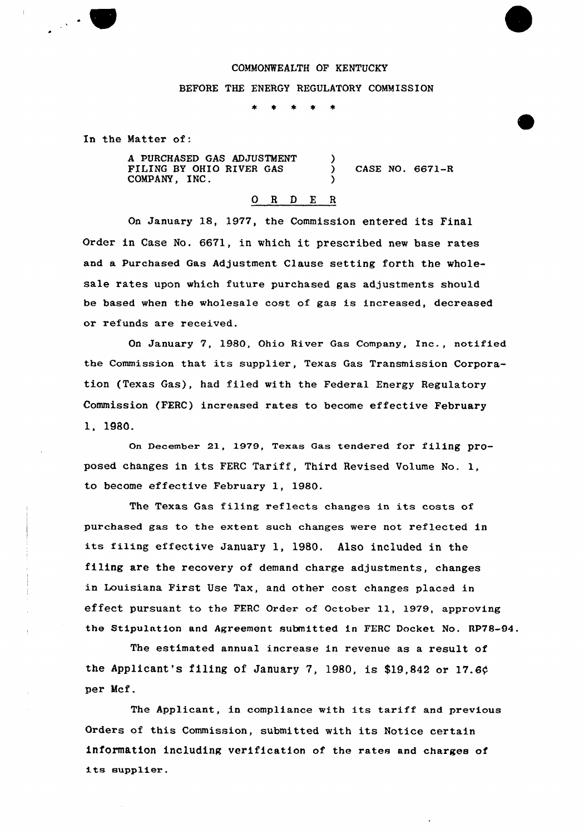### COMMONWEALTH OF KENTUCKY

)

)

### BEFORE THE ENERGY REGULATORY COMMISSION

 $\bullet$  $\star$  $\bullet$ 

In the Matter of:

A PURCHASED GAS ADJUSTMENT FILING BY OHIO RIVER GAS COMPANY, INC.

) CASE NO. 6671-R

### 0 R <sup>D</sup> <sup>Z</sup> R

On January 18, 1977, the Commission entered its Final Order in Case No. 6671, in which it prescribed new base rates and a Purchased Gas Adjustment Clause setting forth the wholesale rates upon which future purchased gas adjustments shou1d be based when the wholesale cost of gas is increased, decreased or refunds are received.

On January 7, 1980, Ohio River Gas Company, Inc., notified the Commission that its supplier, Texas Gas Transmission Corporation (Texas Gas), had filed with the Federal Energy Regulatory Commission (FERC) increased rates to become effective February 1, 1980.

On December 21, 1979, Texas Gas tendered for filing proposed changes in its FERC Tariff, Third Revised Volume No. 1, to become effective February 1, 1980.

The Texas Gas filing reflects changes in its costs of purchased gas to the extent such changes were not reflected in its filing effeCtiVe January 1, 1980. AlSO included in the filing are the recovery of demand charge adjustments, changes in Louisiana First Use Tax, and other cost changes placed in effect pursuant to the FERC Order of October 11, 1979, approving the Stipulation and Agreement submitted in FERC Docket No. RP78-94.

The estimated annual increase in revenue as a result of the Applicant's filing of January 7, 1980, is \$19,842 or 17.6 $\phi$ per Mcf.

The Applicant, in compliance with its tariff and previous Orders of this Commission, submitted with its Notice certain information including verification of the rates and charges of its supplier.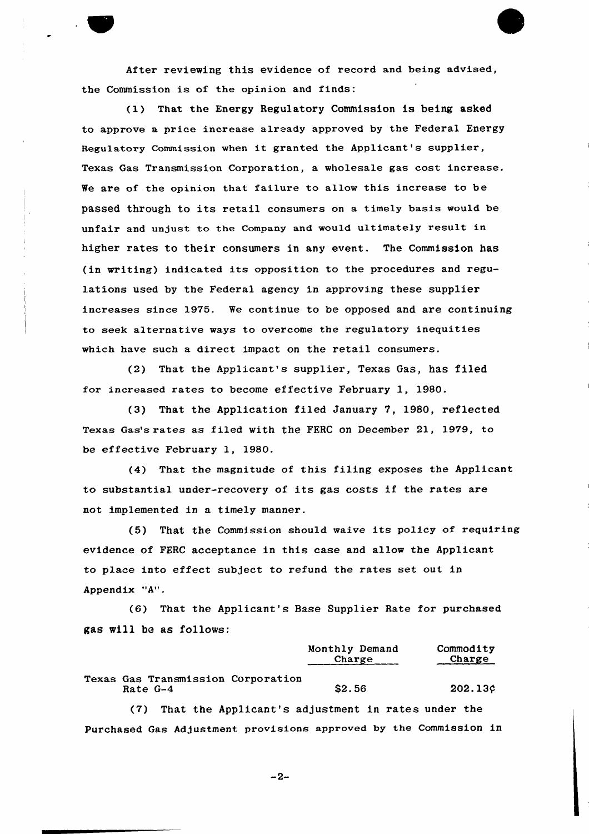After reviewing this evidence of record and being advised, the Commission is of the opinion and finds:

(1) That the Energy Regulatory Commission is being asked to approve a price increase already approved by the Federal Energy Regulatory Commission when it granted the Applicant's supplier, Texas Gas Transmission Corporation, a wholesale gas cost increase. We are of the opinion that failure to allow this increase to be passed through to its retail consumers on a timely basis would be unfair and unjust to the Company and would ultimately result in higher rates to their consumers in any event. The Commission has (in writing) indicated its opposition to the procedures and regulations used by the Federal agency in approving these supplier increases since 1975. We continue to be opposed and are continuing to seek alternative ways to overcome the regulatory inequities which have such a direct impact on the retail consumers.

(2) That the Applicant's supplier, Texas Gas, has filed for increased rates to become effective February 1, 1980.

(3) That the Application filed January 7, 1980, reflected Texas Gas's rates as filed with the FERC on December 21, 1979, to be effective February 1, 1980.

(4) That the magnitude of this filing exposes the Applicant to substantial under-recovery of its gas costs if the rates are not implemented in a timely manner.

(5) That the Commission should waive its policy of requiring evidence of FERC acceptance in this case and allow the Applicant to place into effect subject to refund the rates set out in Appendix "A".

(6) That the Applicant's Base Supplier Rate for purchased gas will be as fo11ows:

|                                                | Monthly Demand<br>Charge | Commodity<br>Charge |
|------------------------------------------------|--------------------------|---------------------|
| Texas Gas Transmission Corporation<br>Rate G-4 | \$2.56                   | 202.13c             |

(7) That the Applicant's adjustment in rates under the Purchased Gas Adjustment provisions approved by the Commission in

 $-2-$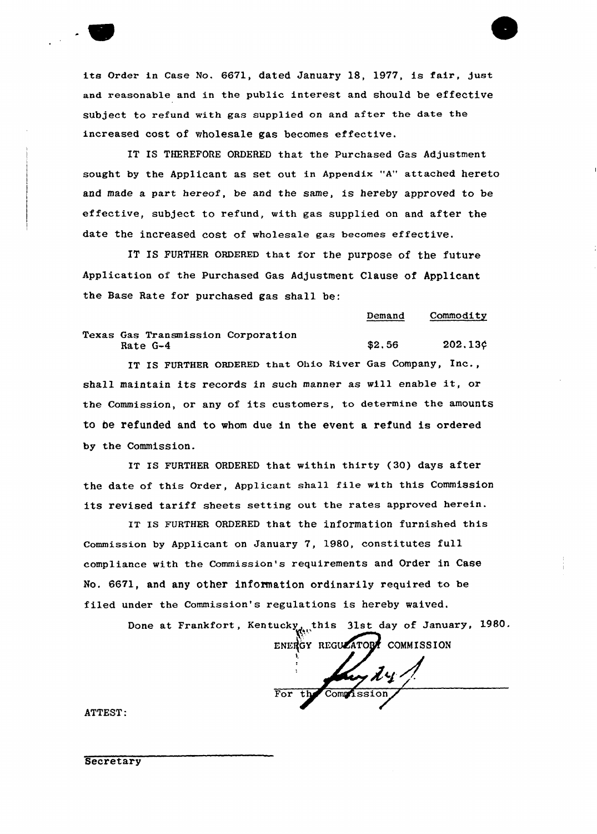

its Order in Case No. 6671, dated January 18, 1977, is fair, just and reasonable and in the public interest and should be effective subject to refund with gas supplied on and after the date the increased cost of wholesale gas becomes effective.

IT IS THEREFORE ORDERED that the Purchased Gas Adjustment sought by the Applicant as set out in Appendix "A" attached hereto and made a part hereof, be and the same, is hereby approved to be effective, subject to refund, with gas supplied on and after the date the increased cost of wholesale gas becomes effective.

IT Is FURTHER oRDERED that for the purpose of the future Application of the Purchased Gas Adjustment Clause of Applicant the Base Rate for purchased gas shall be:

Demand Commodity

Texas Gas Transmission Corporation Rate G-4  $\frac{202.136}{202.136}$ 

IT IS FURTHER ORDERED that Ohio River Gas Company, Inc., shall maintain its records in such manner as will enable it, or the Commission, or any of its customers, to determine the amounts to be refunded and to whom due in the event a refund is ordered by the Commission.

IT IS FURTHER ORDERED that within thirty (30) days after the date of this Order, Applicant shall file with this Commission its revised tariff sheets setting out the rates approved herein.

IT Is FURTHER QRDERED that the information furnished this Commission by Applicant on January 7, 1980, constitutes full compliance with the Commission's requirements and Order in Case No. 6671, and any other information ordinarily required to be filed under the Commission's regulations is hereby waived.

Done at Frankfort, Kentucky this 31st day of January, 1980.

ENERGY REGULATORY COMMISSION

y dy For the Commission

ATTEST:

**Secretary**